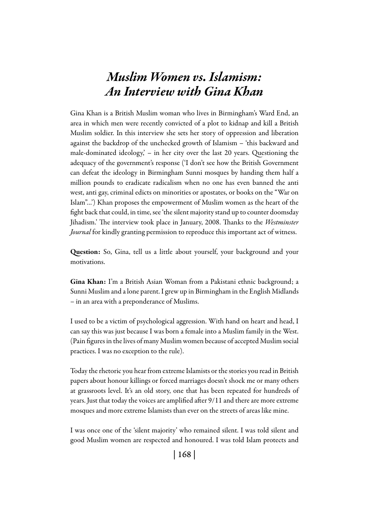# *Muslim Women vs. Islamism: An Interview with Gina Khan*

Gina Khan is a British Muslim woman who lives in Birmingham's Ward End, an area in which men were recently convicted of a plot to kidnap and kill a British Muslim soldier. In this interview she sets her story of oppression and liberation against the backdrop of the unchecked growth of Islamism – 'this backward and male-dominated ideology,' – in her city over the last 20 years. Questioning the adequacy of the government's response ('I don't see how the British Government can defeat the ideology in Birmingham Sunni mosques by handing them half a million pounds to eradicate radicalism when no one has even banned the anti west, anti gay, criminal edicts on minorities or apostates, or books on the "War on Islam"…') Khan proposes the empowerment of Muslim women as the heart of the fight back that could, in time, see 'the silent majority stand up to counter doomsday Jihadism.' The interview took place in January, 2008. Thanks to the *Westminster Journal* for kindly granting permission to reproduce this important act of witness.

Question: So, Gina, tell us a little about yourself, your background and your motivations.

Gina Khan: I'm a British Asian Woman from a Pakistani ethnic background; a Sunni Muslim and a lone parent. I grew up in Birmingham in the English Midlands – in an area with a preponderance of Muslims.

I used to be a victim of psychological aggression. With hand on heart and head, I can say this was just because I was born a female into a Muslim family in the West. (Pain figures in the lives of many Muslim women because of accepted Muslim social practices. I was no exception to the rule).

Today the rhetoric you hear from extreme Islamists or the stories you read in British papers about honour killings or forced marriages doesn't shock me or many others at grassroots level. It's an old story, one that has been repeated for hundreds of years. Just that today the voices are amplified after 9/11 and there are more extreme mosques and more extreme Islamists than ever on the streets of areas like mine.

I was once one of the 'silent majority' who remained silent. I was told silent and good Muslim women are respected and honoured. I was told Islam protects and

| 168 |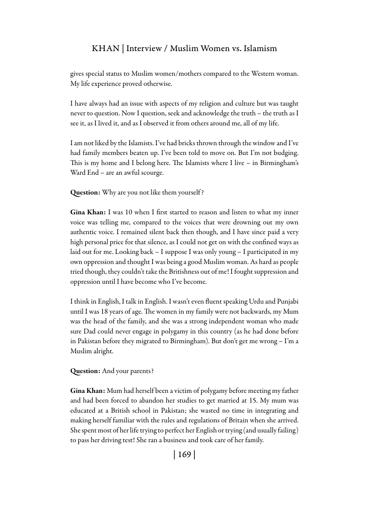gives special status to Muslim women/mothers compared to the Western woman. My life experience proved otherwise.

I have always had an issue with aspects of my religion and culture but was taught never to question. Now I question, seek and acknowledge the truth – the truth as I see it, as I lived it, and as I observed it from others around me, all of my life.

I am not liked by the Islamists. I've had bricks thrown through the window and I've had family members beaten up. I've been told to move on. But I'm not budging. This is my home and I belong here. The Islamists where I live – in Birmingham's Ward End – are an awful scourge.

Question: Why are you not like them yourself ?

Gina Khan: I was 10 when I first started to reason and listen to what my inner voice was telling me, compared to the voices that were drowning out my own authentic voice. I remained silent back then though, and I have since paid a very high personal price for that silence, as I could not get on with the confined ways as laid out for me. Looking back – I suppose I was only young – I participated in my own oppression and thought I was being a good Muslim woman. As hard as people tried though, they couldn't take the Britishness out of me! I fought suppression and oppression until I have become who I've become.

I think in English, I talk in English. I wasn't even fluent speaking Urdu and Punjabi until I was 18 years of age. The women in my family were not backwards, my Mum was the head of the family, and she was a strong independent woman who made sure Dad could never engage in polygamy in this country (as he had done before in Pakistan before they migrated to Birmingham). But don't get me wrong – I'm a Muslim alright.

Question: And your parents?

Gina Khan: Mum had herself been a victim of polygamy before meeting my father and had been forced to abandon her studies to get married at 15. My mum was educated at a British school in Pakistan; she wasted no time in integrating and making herself familiar with the rules and regulations of Britain when she arrived. She spent most of her life trying to perfect her English or trying (and usually failing) to pass her driving test! She ran a business and took care of her family.

| 169 |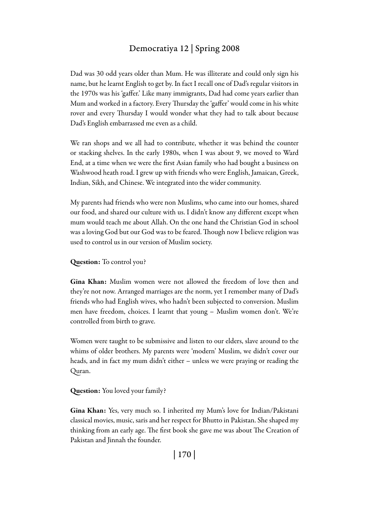Dad was 30 odd years older than Mum. He was illiterate and could only sign his name, but he learnt English to get by. In fact I recall one of Dad's regular visitors in the 1970s was his 'gaffer.' Like many immigrants, Dad had come years earlier than Mum and worked in a factory. Every Thursday the 'gaffer' would come in his white rover and every Thursday I would wonder what they had to talk about because Dad's English embarrassed me even as a child.

We ran shops and we all had to contribute, whether it was behind the counter or stacking shelves. In the early 1980s, when I was about 9, we moved to Ward End, at a time when we were the first Asian family who had bought a business on Washwood heath road. I grew up with friends who were English, Jamaican, Greek, Indian, Sikh, and Chinese. We integrated into the wider community.

My parents had friends who were non Muslims, who came into our homes, shared our food, and shared our culture with us. I didn't know any different except when mum would teach me about Allah. On the one hand the Christian God in school was a loving God but our God was to be feared. Though now I believe religion was used to control us in our version of Muslim society.

### Question: To control you?

Gina Khan: Muslim women were not allowed the freedom of love then and they're not now. Arranged marriages are the norm, yet I remember many of Dad's friends who had English wives, who hadn't been subjected to conversion. Muslim men have freedom, choices. I learnt that young – Muslim women don't. We're controlled from birth to grave.

Women were taught to be submissive and listen to our elders, slave around to the whims of older brothers. My parents were 'modern' Muslim, we didn't cover our heads, and in fact my mum didn't either – unless we were praying or reading the Quran.

### Question: You loved your family?

Gina Khan: Yes, very much so. I inherited my Mum's love for Indian/Pakistani classical movies, music, saris and her respect for Bhutto in Pakistan. She shaped my thinking from an early age. The first book she gave me was about The Creation of Pakistan and Jinnah the founder.

| 170 |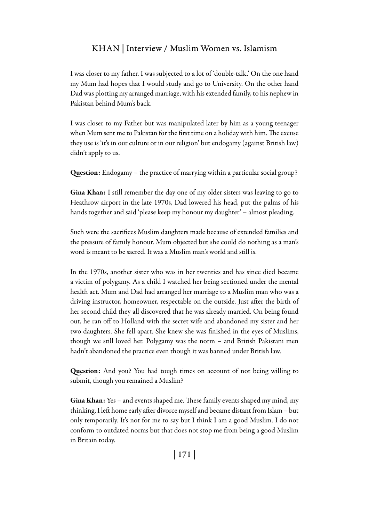I was closer to my father. I was subjected to a lot of 'double-talk.' On the one hand my Mum had hopes that I would study and go to University. On the other hand Dad was plotting my arranged marriage, with his extended family, to his nephew in Pakistan behind Mum's back.

I was closer to my Father but was manipulated later by him as a young teenager when Mum sent me to Pakistan for the first time on a holiday with him. The excuse they use is 'it's in our culture or in our religion' but endogamy (against British law) didn't apply to us.

Question: Endogamy – the practice of marrying within a particular social group?

Gina Khan: I still remember the day one of my older sisters was leaving to go to Heathrow airport in the late 1970s, Dad lowered his head, put the palms of his hands together and said 'please keep my honour my daughter' – almost pleading.

Such were the sacrifices Muslim daughters made because of extended families and the pressure of family honour. Mum objected but she could do nothing as a man's word is meant to be sacred. It was a Muslim man's world and still is.

In the 1970s, another sister who was in her twenties and has since died became a victim of polygamy. As a child I watched her being sectioned under the mental health act. Mum and Dad had arranged her marriage to a Muslim man who was a driving instructor, homeowner, respectable on the outside. Just after the birth of her second child they all discovered that he was already married. On being found out, he ran off to Holland with the secret wife and abandoned my sister and her two daughters. She fell apart. She knew she was finished in the eyes of Muslims, though we still loved her. Polygamy was the norm – and British Pakistani men hadn't abandoned the practice even though it was banned under British law.

Question: And you? You had tough times on account of not being willing to submit, though you remained a Muslim?

Gina Khan: Yes – and events shaped me. These family events shaped my mind, my thinking. I left home early after divorce myself and became distant from Islam – but only temporarily. It's not for me to say but I think I am a good Muslim. I do not conform to outdated norms but that does not stop me from being a good Muslim in Britain today.

| 171 |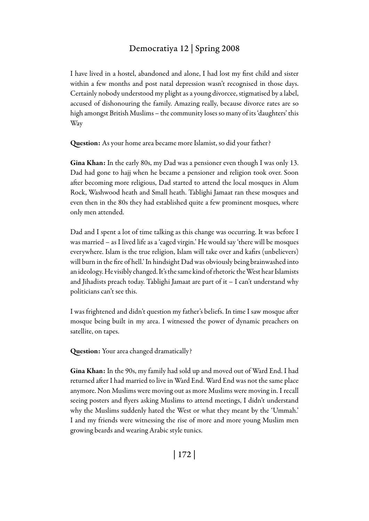I have lived in a hostel, abandoned and alone, I had lost my first child and sister within a few months and post natal depression wasn't recognised in those days. Certainly nobody understood my plight as a young divorcee, stigmatised by a label, accused of dishonouring the family. Amazing really, because divorce rates are so high amongst British Muslims – the community loses so many of its 'daughters' this Way

Question: As your home area became more Islamist, so did your father?

Gina Khan: In the early 80s, my Dad was a pensioner even though I was only 13. Dad had gone to hajj when he became a pensioner and religion took over. Soon after becoming more religious, Dad started to attend the local mosques in Alum Rock, Washwood heath and Small heath. Tablighi Jamaat ran these mosques and even then in the 80s they had established quite a few prominent mosques, where only men attended.

Dad and I spent a lot of time talking as this change was occurring. It was before I was married – as I lived life as a 'caged virgin.' He would say 'there will be mosques everywhere. Islam is the true religion, Islam will take over and kafirs (unbelievers) will burn in the fire of hell.' In hindsight Dad was obviously being brainwashed into an ideology. He visibly changed. It's the same kind of rhetoric the West hear Islamists and Jihadists preach today. Tablighi Jamaat are part of it – I can't understand why politicians can't see this.

I was frightened and didn't question my father's beliefs. In time I saw mosque after mosque being built in my area. I witnessed the power of dynamic preachers on satellite, on tapes.

Question: Your area changed dramatically?

Gina Khan: In the 90s, my family had sold up and moved out of Ward End. I had returned after I had married to live in Ward End. Ward End was not the same place anymore. Non Muslims were moving out as more Muslims were moving in. I recall seeing posters and flyers asking Muslims to attend meetings, I didn't understand why the Muslims suddenly hated the West or what they meant by the 'Ummah.' I and my friends were witnessing the rise of more and more young Muslim men growing beards and wearing Arabic style tunics.

| 172 |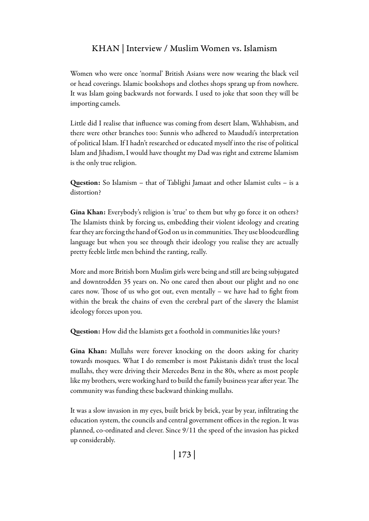Women who were once 'normal' British Asians were now wearing the black veil or head coverings. Islamic bookshops and clothes shops sprang up from nowhere. It was Islam going backwards not forwards. I used to joke that soon they will be importing camels.

Little did I realise that influence was coming from desert Islam, Wahhabism, and there were other branches too: Sunnis who adhered to Maududi's interpretation of political Islam. If I hadn't researched or educated myself into the rise of political Islam and Jihadism, I would have thought my Dad was right and extreme Islamism is the only true religion.

Question: So Islamism – that of Tablighi Jamaat and other Islamist cults – is a distortion?

Gina Khan: Everybody's religion is 'true' to them but why go force it on others? The Islamists think by forcing us, embedding their violent ideology and creating fear they are forcing the hand of God on us in communities. They use bloodcurdling language but when you see through their ideology you realise they are actually pretty feeble little men behind the ranting, really.

More and more British born Muslim girls were being and still are being subjugated and downtrodden 35 years on. No one cared then about our plight and no one cares now. Those of us who got out, even mentally – we have had to fight from within the break the chains of even the cerebral part of the slavery the Islamist ideology forces upon you.

Question: How did the Islamists get a foothold in communities like yours?

Gina Khan: Mullahs were forever knocking on the doors asking for charity towards mosques. What I do remember is most Pakistanis didn't trust the local mullahs, they were driving their Mercedes Benz in the 80s, where as most people like my brothers, were working hard to build the family business year after year. The community was funding these backward thinking mullahs.

It was a slow invasion in my eyes, built brick by brick, year by year, infiltrating the education system, the councils and central government offices in the region. It was planned, co-ordinated and clever. Since 9/11 the speed of the invasion has picked up considerably.

| 173 |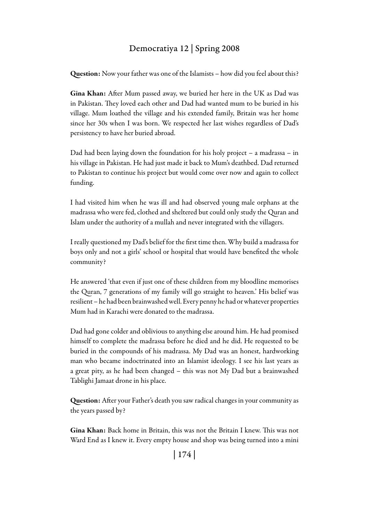Question: Now your father was one of the Islamists – how did you feel about this?

Gina Khan: After Mum passed away, we buried her here in the UK as Dad was in Pakistan. They loved each other and Dad had wanted mum to be buried in his village. Mum loathed the village and his extended family, Britain was her home since her 30s when I was born. We respected her last wishes regardless of Dad's persistency to have her buried abroad.

Dad had been laying down the foundation for his holy project – a madrassa – in his village in Pakistan. He had just made it back to Mum's deathbed. Dad returned to Pakistan to continue his project but would come over now and again to collect funding.

I had visited him when he was ill and had observed young male orphans at the madrassa who were fed, clothed and sheltered but could only study the Quran and Islam under the authority of a mullah and never integrated with the villagers.

I really questioned my Dad's belief for the first time then. Why build a madrassa for boys only and not a girls' school or hospital that would have benefited the whole community?

He answered 'that even if just one of these children from my bloodline memorises the Quran, 7 generations of my family will go straight to heaven.' His belief was resilient – he had been brainwashed well. Every penny he had or whatever properties Mum had in Karachi were donated to the madrassa.

Dad had gone colder and oblivious to anything else around him. He had promised himself to complete the madrassa before he died and he did. He requested to be buried in the compounds of his madrassa. My Dad was an honest, hardworking man who became indoctrinated into an Islamist ideology. I see his last years as a great pity, as he had been changed – this was not My Dad but a brainwashed Tablighi Jamaat drone in his place.

Question: After your Father's death you saw radical changes in your community as the years passed by?

Gina Khan: Back home in Britain, this was not the Britain I knew. This was not Ward End as I knew it. Every empty house and shop was being turned into a mini

| 174 |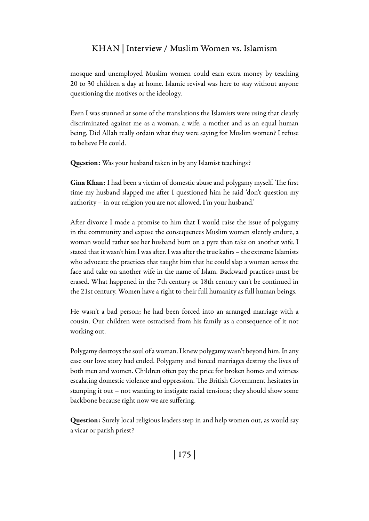mosque and unemployed Muslim women could earn extra money by teaching 20 to 30 children a day at home. Islamic revival was here to stay without anyone questioning the motives or the ideology.

Even I was stunned at some of the translations the Islamists were using that clearly discriminated against me as a woman, a wife, a mother and as an equal human being. Did Allah really ordain what they were saying for Muslim women? I refuse to believe He could.

Question: Was your husband taken in by any Islamist teachings?

Gina Khan: I had been a victim of domestic abuse and polygamy myself. The first time my husband slapped me after I questioned him he said 'don't question my authority – in our religion you are not allowed. I'm your husband.'

After divorce I made a promise to him that I would raise the issue of polygamy in the community and expose the consequences Muslim women silently endure, a woman would rather see her husband burn on a pyre than take on another wife. I stated that it wasn't him I was after. I was after the true kafirs – the extreme Islamists who advocate the practices that taught him that he could slap a woman across the face and take on another wife in the name of Islam. Backward practices must be erased. What happened in the 7th century or 18th century can't be continued in the 21st century. Women have a right to their full humanity as full human beings.

He wasn't a bad person; he had been forced into an arranged marriage with a cousin. Our children were ostracised from his family as a consequence of it not working out.

Polygamy destroys the soul of a woman. I knew polygamy wasn't beyond him. In any case our love story had ended. Polygamy and forced marriages destroy the lives of both men and women. Children often pay the price for broken homes and witness escalating domestic violence and oppression. The British Government hesitates in stamping it out – not wanting to instigate racial tensions; they should show some backbone because right now we are suffering.

Question: Surely local religious leaders step in and help women out, as would say a vicar or parish priest?

| 175 |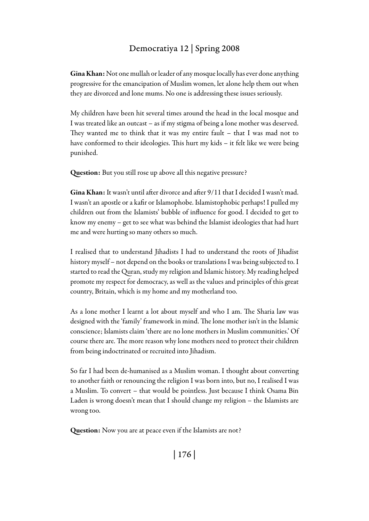Gina Khan: Not one mullah or leader of any mosque locally has ever done anything progressive for the emancipation of Muslim women, let alone help them out when they are divorced and lone mums. No one is addressing these issues seriously.

My children have been hit several times around the head in the local mosque and I was treated like an outcast – as if my stigma of being a lone mother was deserved. They wanted me to think that it was my entire fault – that I was mad not to have conformed to their ideologies. This hurt my kids – it felt like we were being punished.

Question: But you still rose up above all this negative pressure?

Gina Khan: It wasn't until after divorce and after 9/11 that I decided I wasn't mad. I wasn't an apostle or a kafir or Islamophobe. Islamistophobic perhaps! I pulled my children out from the Islamists' bubble of influence for good. I decided to get to know my enemy – get to see what was behind the Islamist ideologies that had hurt me and were hurting so many others so much.

I realised that to understand Jihadists I had to understand the roots of Jihadist history myself – not depend on the books or translations I was being subjected to. I started to read the Quran, study my religion and Islamic history. My reading helped promote my respect for democracy, as well as the values and principles of this great country, Britain, which is my home and my motherland too.

As a lone mother I learnt a lot about myself and who I am. The Sharia law was designed with the 'family' framework in mind. The lone mother isn't in the Islamic conscience; Islamists claim 'there are no lone mothers in Muslim communities.' Of course there are. The more reason why lone mothers need to protect their children from being indoctrinated or recruited into Jihadism.

So far I had been de-humanised as a Muslim woman. I thought about converting to another faith or renouncing the religion I was born into, but no, I realised I was a Muslim. To convert – that would be pointless. Just because I think Osama Bin Laden is wrong doesn't mean that I should change my religion – the Islamists are wrong too.

Question: Now you are at peace even if the Islamists are not?

| 176 |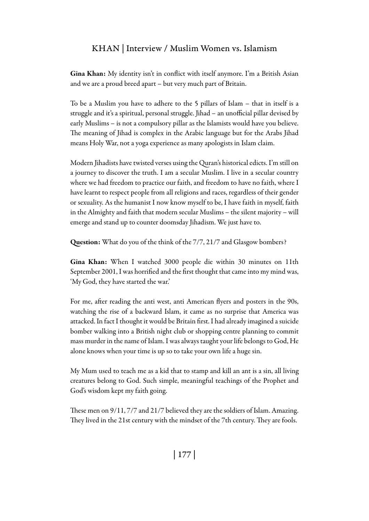Gina Khan: My identity isn't in conflict with itself anymore. I'm a British Asian and we are a proud breed apart – but very much part of Britain.

To be a Muslim you have to adhere to the 5 pillars of Islam – that in itself is a struggle and it's a spiritual, personal struggle. Jihad – an unofficial pillar devised by early Muslims – is not a compulsory pillar as the Islamists would have you believe. The meaning of Jihad is complex in the Arabic language but for the Arabs Jihad means Holy War, not a yoga experience as many apologists in Islam claim.

Modern Jihadists have twisted verses using the Quran's historical edicts. I'm still on a journey to discover the truth. I am a secular Muslim. I live in a secular country where we had freedom to practice our faith, and freedom to have no faith, where I have learnt to respect people from all religions and races, regardless of their gender or sexuality. As the humanist I now know myself to be, I have faith in myself, faith in the Almighty and faith that modern secular Muslims – the silent majority – will emerge and stand up to counter doomsday Jihadism. We just have to.

Question: What do you of the think of the 7/7, 21/7 and Glasgow bombers?

Gina Khan: When I watched 3000 people die within 30 minutes on 11th September 2001, I was horrified and the first thought that came into my mind was, 'My God, they have started the war.'

For me, after reading the anti west, anti American flyers and posters in the 90s, watching the rise of a backward Islam, it came as no surprise that America was attacked. In fact I thought it would be Britain first. I had already imagined a suicide bomber walking into a British night club or shopping centre planning to commit mass murder in the name of Islam. I was always taught your life belongs to God, He alone knows when your time is up so to take your own life a huge sin.

My Mum used to teach me as a kid that to stamp and kill an ant is a sin, all living creatures belong to God. Such simple, meaningful teachings of the Prophet and God's wisdom kept my faith going.

These men on 9/11, 7/7 and 21/7 believed they are the soldiers of Islam. Amazing. They lived in the 21st century with the mindset of the 7th century. They are fools.

| 177 |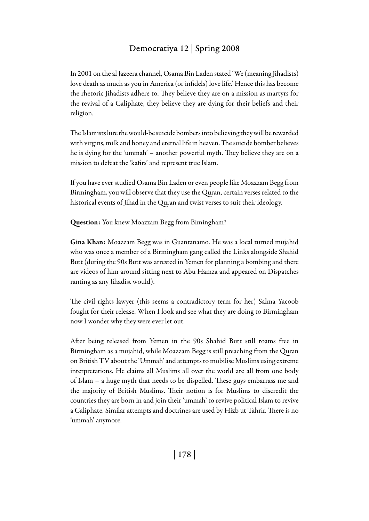In 2001 on the al Jazeera channel, Osama Bin Laden stated 'We (meaning Jihadists) love death as much as you in America (or infidels) love life.' Hence this has become the rhetoric Jihadists adhere to. They believe they are on a mission as martyrs for the revival of a Caliphate, they believe they are dying for their beliefs and their religion.

The Islamists lure the would-be suicide bombers into believing they will be rewarded with virgins, milk and honey and eternal life in heaven. The suicide bomber believes he is dying for the 'ummah' – another powerful myth. They believe they are on a mission to defeat the 'kafirs' and represent true Islam.

If you have ever studied Osama Bin Laden or even people like Moazzam Begg from Birmingham, you will observe that they use the Quran, certain verses related to the historical events of Jihad in the Quran and twist verses to suit their ideology.

Question: You knew Moazzam Begg from Bimingham?

Gina Khan: Moazzam Begg was in Guantanamo. He was a local turned mujahid who was once a member of a Birmingham gang called the Links alongside Shahid Butt (during the 90s Butt was arrested in Yemen for planning a bombing and there are videos of him around sitting next to Abu Hamza and appeared on Dispatches ranting as any Jihadist would).

The civil rights lawyer (this seems a contradictory term for her) Salma Yacoob fought for their release. When I look and see what they are doing to Birmingham now I wonder why they were ever let out.

After being released from Yemen in the 90s Shahid Butt still roams free in Birmingham as a mujahid, while Moazzam Begg is still preaching from the Quran on British TV about the 'Ummah' and attempts to mobilise Muslims using extreme interpretations. He claims all Muslims all over the world are all from one body of Islam – a huge myth that needs to be dispelled. These guys embarrass me and the majority of British Muslims. Their notion is for Muslims to discredit the countries they are born in and join their 'ummah' to revive political Islam to revive a Caliphate. Similar attempts and doctrines are used by Hizb ut Tahrir. There is no 'ummah' anymore.

| 178 |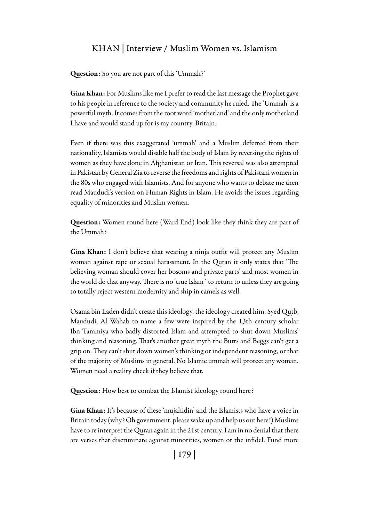Question: So you are not part of this 'Ummah?'

Gina Khan: For Muslims like me I prefer to read the last message the Prophet gave to his people in reference to the society and community he ruled. The 'Ummah' is a powerful myth. It comes from the root word 'motherland' and the only motherland I have and would stand up for is my country, Britain.

Even if there was this exaggerated 'ummah' and a Muslim deferred from their nationality, Islamists would disable half the body of Islam by reversing the rights of women as they have done in Afghanistan or Iran. This reversal was also attempted in Pakistan by General Zia to reverse the freedoms and rights of Pakistani women in the 80s who engaged with Islamists. And for anyone who wants to debate me then read Maududi's version on Human Rights in Islam. He avoids the issues regarding equality of minorities and Muslim women.

Question: Women round here (Ward End) look like they think they are part of the Ummah?

Gina Khan: I don't believe that wearing a ninja outfit will protect any Muslim woman against rape or sexual harassment. In the Quran it only states that 'The believing woman should cover her bosoms and private parts' and most women in the world do that anyway. There is no 'true Islam ' to return to unless they are going to totally reject western modernity and ship in camels as well.

Osama bin Laden didn't create this ideology, the ideology created him. Syed Qutb, Maududi, Al Wahab to name a few were inspired by the 13th century scholar Ibn Tammiya who badly distorted Islam and attempted to shut down Muslims' thinking and reasoning. That's another great myth the Butts and Beggs can't get a grip on. They can't shut down women's thinking or independent reasoning, or that of the majority of Muslims in general. No Islamic ummah will protect any woman. Women need a reality check if they believe that.

Question: How best to combat the Islamist ideology round here?

Gina Khan: It's because of these 'mujahidin' and the Islamists who have a voice in Britain today (why? Oh government, please wake up and help us out here!) Muslims have to re interpret the Quran again in the 21st century. I am in no denial that there are verses that discriminate against minorities, women or the infidel. Fund more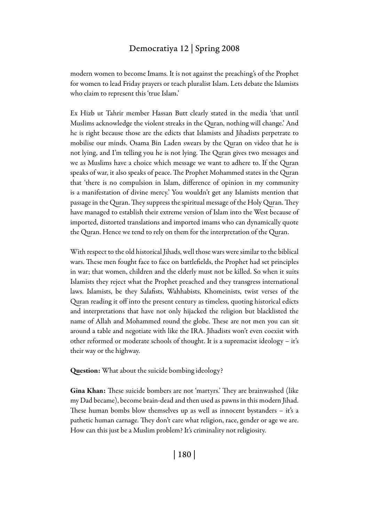modern women to become Imams. It is not against the preaching's of the Prophet for women to lead Friday prayers or teach pluralist Islam. Lets debate the Islamists who claim to represent this 'true Islam.'

Ex Hizb ut Tahrir member Hassan Butt clearly stated in the media 'that until Muslims acknowledge the violent streaks in the Quran, nothing will change.' And he is right because those are the edicts that Islamists and Jihadists perpetrate to mobilise our minds. Osama Bin Laden swears by the Quran on video that he is not lying, and I'm telling you he is not lying. The Quran gives two messages and we as Muslims have a choice which message we want to adhere to. If the Quran speaks of war, it also speaks of peace. The Prophet Mohammed states in the Quran that 'there is no compulsion in Islam, difference of opinion in my community is a manifestation of divine mercy.' You wouldn't get any Islamists mention that passage in the Quran. They suppress the spiritual message of the Holy Quran. They have managed to establish their extreme version of Islam into the West because of imported, distorted translations and imported imams who can dynamically quote the Quran. Hence we tend to rely on them for the interpretation of the Quran.

With respect to the old historical Jihads, well those wars were similar to the biblical wars. These men fought face to face on battlefields, the Prophet had set principles in war; that women, children and the elderly must not be killed. So when it suits Islamists they reject what the Prophet preached and they transgress international laws. Islamists, be they Salafists, Wahhabists, Khomeinists, twist verses of the Quran reading it off into the present century as timeless, quoting historical edicts and interpretations that have not only hijacked the religion but blacklisted the name of Allah and Mohammed round the globe. These are not men you can sit around a table and negotiate with like the IRA. Jihadists won't even coexist with other reformed or moderate schools of thought. It is a supremacist ideology – it's their way or the highway.

Question: What about the suicide bombing ideology?

Gina Khan: These suicide bombers are not 'martyrs.' They are brainwashed (like my Dad became), become brain-dead and then used as pawns in this modern Jihad. These human bombs blow themselves up as well as innocent bystanders – it's a pathetic human carnage. They don't care what religion, race, gender or age we are. How can this just be a Muslim problem? It's criminality not religiosity.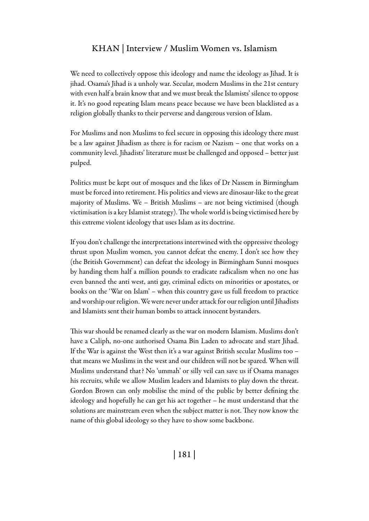We need to collectively oppose this ideology and name the ideology as Jihad. It is jihad. Osama's Jihad is a unholy war. Secular, modern Muslims in the 21st century with even half a brain know that and we must break the Islamists' silence to oppose it. It's no good repeating Islam means peace because we have been blacklisted as a religion globally thanks to their perverse and dangerous version of Islam.

For Muslims and non Muslims to feel secure in opposing this ideology there must be a law against Jihadism as there is for racism or Nazism – one that works on a community level. Jihadists' literature must be challenged and opposed – better just pulped.

Politics must be kept out of mosques and the likes of Dr Nassem in Birmingham must be forced into retirement. His politics and views are dinosaur-like to the great majority of Muslims. We – British Muslims – are not being victimised (though victimisation is a key Islamist strategy). The whole world is being victimised here by this extreme violent ideology that uses Islam as its doctrine.

If you don't challenge the interpretations intertwined with the oppressive theology thrust upon Muslim women, you cannot defeat the enemy. I don't see how they (the British Government) can defeat the ideology in Birmingham Sunni mosques by handing them half a million pounds to eradicate radicalism when no one has even banned the anti west, anti gay, criminal edicts on minorities or apostates, or books on the 'War on Islam' – when this country gave us full freedom to practice and worship our religion. We were never under attack for our religion until Jihadists and Islamists sent their human bombs to attack innocent bystanders.

This war should be renamed clearly as the war on modern Islamism. Muslims don't have a Caliph, no-one authorised Osama Bin Laden to advocate and start Jihad. If the War is against the West then it's a war against British secular Muslims too – that means we Muslims in the west and our children will not be spared. When will Muslims understand that? No 'ummah' or silly veil can save us if Osama manages his recruits, while we allow Muslim leaders and Islamists to play down the threat. Gordon Brown can only mobilise the mind of the public by better defining the ideology and hopefully he can get his act together – he must understand that the solutions are mainstream even when the subject matter is not. They now know the name of this global ideology so they have to show some backbone.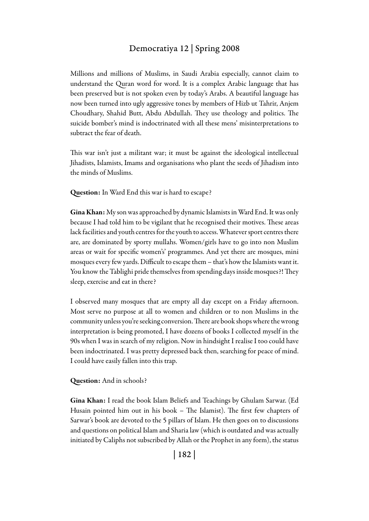Millions and millions of Muslims, in Saudi Arabia especially, cannot claim to understand the Quran word for word. It is a complex Arabic language that has been preserved but is not spoken even by today's Arabs. A beautiful language has now been turned into ugly aggressive tones by members of Hizb ut Tahrir, Anjem Choudhary, Shahid Butt, Abdu Abdullah. They use theology and politics. The suicide bomber's mind is indoctrinated with all these mens' misinterpretations to subtract the fear of death.

This war isn't just a militant war; it must be against the ideological intellectual Jihadists, Islamists, Imams and organisations who plant the seeds of Jihadism into the minds of Muslims.

Question: In Ward End this war is hard to escape?

Gina Khan: My son was approached by dynamic Islamists in Ward End. It was only because I had told him to be vigilant that he recognised their motives. These areas lack facilities and youth centres for the youth to access. Whatever sport centres there are, are dominated by sporty mullahs. Women/girls have to go into non Muslim areas or wait for specific women's' programmes. And yet there are mosques, mini mosques every few yards. Difficult to escape them – that's how the Islamists want it. You know the Tablighi pride themselves from spending days inside mosques?! They sleep, exercise and eat in there?

I observed many mosques that are empty all day except on a Friday afternoon. Most serve no purpose at all to women and children or to non Muslims in the community unless you're seeking conversion. There are book shops where the wrong interpretation is being promoted, I have dozens of books I collected myself in the 90s when I was in search of my religion. Now in hindsight I realise I too could have been indoctrinated. I was pretty depressed back then, searching for peace of mind. I could have easily fallen into this trap.

#### Question: And in schools?

Gina Khan: I read the book Islam Beliefs and Teachings by Ghulam Sarwar. (Ed Husain pointed him out in his book – The Islamist). The first few chapters of Sarwar's book are devoted to the 5 pillars of Islam. He then goes on to discussions and questions on political Islam and Sharia law (which is outdated and was actually initiated by Caliphs not subscribed by Allah or the Prophet in any form), the status

| 182 |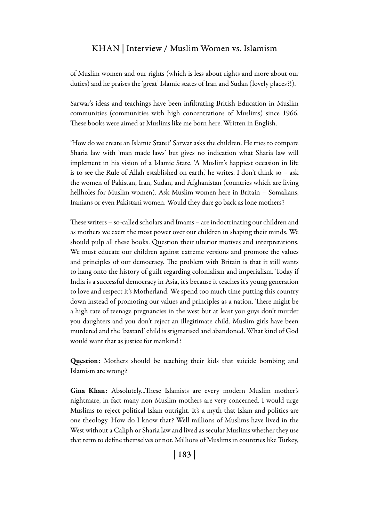of Muslim women and our rights (which is less about rights and more about our duties) and he praises the 'great' Islamic states of Iran and Sudan (lovely places?!).

Sarwar's ideas and teachings have been infiltrating British Education in Muslim communities (communities with high concentrations of Muslims) since 1966. These books were aimed at Muslims like me born here. Written in English.

'How do we create an Islamic State?' Sarwar asks the children. He tries to compare Sharia law with 'man made laws' but gives no indication what Sharia law will implement in his vision of a Islamic State. 'A Muslim's happiest occasion in life is to see the Rule of Allah established on earth,' he writes. I don't think so  $-$  ask the women of Pakistan, Iran, Sudan, and Afghanistan (countries which are living hellholes for Muslim women). Ask Muslim women here in Britain – Somalians, Iranians or even Pakistani women. Would they dare go back as lone mothers?

These writers – so-called scholars and Imams – are indoctrinating our children and as mothers we exert the most power over our children in shaping their minds. We should pulp all these books. Question their ulterior motives and interpretations. We must educate our children against extreme versions and promote the values and principles of our democracy. The problem with Britain is that it still wants to hang onto the history of guilt regarding colonialism and imperialism. Today if India is a successful democracy in Asia, it's because it teaches it's young generation to love and respect it's Motherland. We spend too much time putting this country down instead of promoting our values and principles as a nation. There might be a high rate of teenage pregnancies in the west but at least you guys don't murder you daughters and you don't reject an illegitimate child. Muslim girls have been murdered and the 'bastard' child is stigmatised and abandoned. What kind of God would want that as justice for mankind?

Question: Mothers should be teaching their kids that suicide bombing and Islamism are wrong?

Gina Khan: Absolutely...These Islamists are every modern Muslim mother's nightmare, in fact many non Muslim mothers are very concerned. I would urge Muslims to reject political Islam outright. It's a myth that Islam and politics are one theology. How do I know that? Well millions of Muslims have lived in the West without a Caliph or Sharia law and lived as secular Muslims whether they use that term to define themselves or not. Millions of Muslims in countries like Turkey,

| 183 |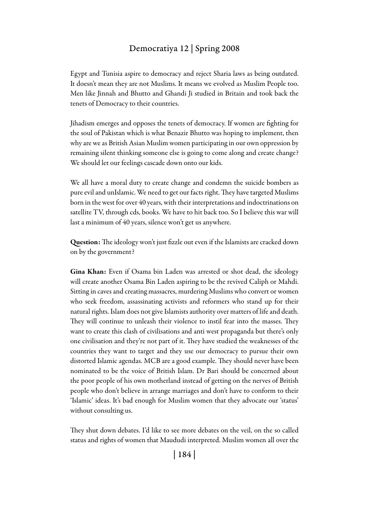Egypt and Tunisia aspire to democracy and reject Sharia laws as being outdated. It doesn't mean they are not Muslims. It means we evolved as Muslim People too. Men like Jinnah and Bhutto and Ghandi Ji studied in Britain and took back the tenets of Democracy to their countries.

Jihadism emerges and opposes the tenets of democracy. If women are fighting for the soul of Pakistan which is what Benazir Bhutto was hoping to implement, then why are we as British Asian Muslim women participating in our own oppression by remaining silent thinking someone else is going to come along and create change? We should let our feelings cascade down onto our kids.

We all have a moral duty to create change and condemn the suicide bombers as pure evil and unIslamic. We need to get our facts right. They have targeted Muslims born in the west for over 40 years, with their interpretations and indoctrinations on satellite TV, through cds, books. We have to hit back too. So I believe this war will last a minimum of 40 years, silence won't get us anywhere.

Question: The ideology won't just fizzle out even if the Islamists are cracked down on by the government?

Gina Khan: Even if Osama bin Laden was arrested or shot dead, the ideology will create another Osama Bin Laden aspiring to be the revived Caliph or Mahdi. Sitting in caves and creating massacres, murdering Muslims who convert or women who seek freedom, assassinating activists and reformers who stand up for their natural rights. Islam does not give Islamists authority over matters of life and death. They will continue to unleash their violence to instil fear into the masses. They want to create this clash of civilisations and anti west propaganda but there's only one civilisation and they're not part of it. They have studied the weaknesses of the countries they want to target and they use our democracy to pursue their own distorted Islamic agendas. MCB are a good example. They should never have been nominated to be the voice of British Islam. Dr Bari should be concerned about the poor people of his own motherland instead of getting on the nerves of British people who don't believe in arrange marriages and don't have to conform to their 'Islamic' ideas. It's bad enough for Muslim women that they advocate our 'status' without consulting us.

They shut down debates. I'd like to see more debates on the veil, on the so called status and rights of women that Maududi interpreted. Muslim women all over the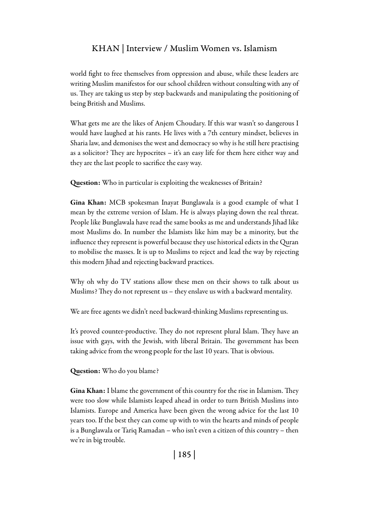world fight to free themselves from oppression and abuse, while these leaders are writing Muslim manifestos for our school children without consulting with any of us. They are taking us step by step backwards and manipulating the positioning of being British and Muslims.

What gets me are the likes of Anjem Choudary. If this war wasn't so dangerous I would have laughed at his rants. He lives with a 7th century mindset, believes in Sharia law, and demonises the west and democracy so why is he still here practising as a solicitor? They are hypocrites – it's an easy life for them here either way and they are the last people to sacrifice the easy way.

Question: Who in particular is exploiting the weaknesses of Britain?

Gina Khan: MCB spokesman Inayat Bunglawala is a good example of what I mean by the extreme version of Islam. He is always playing down the real threat. People like Bunglawala have read the same books as me and understands Jihad like most Muslims do. In number the Islamists like him may be a minority, but the influence they represent is powerful because they use historical edicts in the Quran to mobilise the masses. It is up to Muslims to reject and lead the way by rejecting this modern Jihad and rejecting backward practices.

Why oh why do TV stations allow these men on their shows to talk about us Muslims? They do not represent us – they enslave us with a backward mentality.

We are free agents we didn't need backward-thinking Muslims representing us.

It's proved counter-productive. They do not represent plural Islam. They have an issue with gays, with the Jewish, with liberal Britain. The government has been taking advice from the wrong people for the last 10 years. That is obvious.

Question: Who do you blame?

Gina Khan: I blame the government of this country for the rise in Islamism. They were too slow while Islamists leaped ahead in order to turn British Muslims into Islamists. Europe and America have been given the wrong advice for the last 10 years too. If the best they can come up with to win the hearts and minds of people is a Bunglawala or Tariq Ramadan – who isn't even a citizen of this country – then we're in big trouble.

| 185 |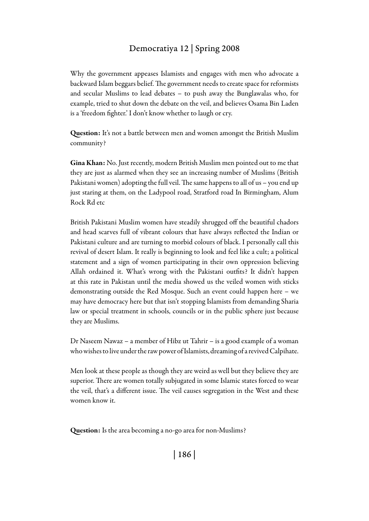Why the government appeases Islamists and engages with men who advocate a backward Islam beggars belief. The government needs to create space for reformists and secular Muslims to lead debates – to push away the Bunglawalas who, for example, tried to shut down the debate on the veil, and believes Osama Bin Laden is a 'freedom fighter.' I don't know whether to laugh or cry.

Question: It's not a battle between men and women amongst the British Muslim community?

Gina Khan: No. Just recently, modern British Muslim men pointed out to me that they are just as alarmed when they see an increasing number of Muslims (British Pakistani women) adopting the full veil. The same happens to all of us – you end up just staring at them, on the Ladypool road, Stratford road In Birmingham, Alum Rock Rd etc

British Pakistani Muslim women have steadily shrugged off the beautiful chadors and head scarves full of vibrant colours that have always reflected the Indian or Pakistani culture and are turning to morbid colours of black. I personally call this revival of desert Islam. It really is beginning to look and feel like a cult; a political statement and a sign of women participating in their own oppression believing Allah ordained it. What's wrong with the Pakistani outfits? It didn't happen at this rate in Pakistan until the media showed us the veiled women with sticks demonstrating outside the Red Mosque. Such an event could happen here – we may have democracy here but that isn't stopping Islamists from demanding Sharia law or special treatment in schools, councils or in the public sphere just because they are Muslims.

Dr Naseem Nawaz – a member of Hibz ut Tahrir – is a good example of a woman who wishes to live under the raw power of Islamists, dreaming of a revived Calpihate.

Men look at these people as though they are weird as well but they believe they are superior. There are women totally subjugated in some Islamic states forced to wear the veil, that's a different issue. The veil causes segregation in the West and these women know it.

Question: Is the area becoming a no-go area for non-Muslims?

| 186 |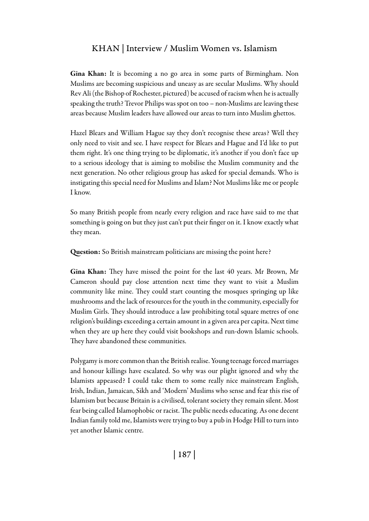Gina Khan: It is becoming a no go area in some parts of Birmingham. Non Muslims are becoming suspicious and uneasy as are secular Muslims. Why should Rev Ali (the Bishop of Rochester, pictured) be accused of racism when he is actually speaking the truth? Trevor Philips was spot on too – non-Muslims are leaving these areas because Muslim leaders have allowed our areas to turn into Muslim ghettos.

Hazel Blears and William Hague say they don't recognise these areas? Well they only need to visit and see. I have respect for Blears and Hague and I'd like to put them right. It's one thing trying to be diplomatic, it's another if you don't face up to a serious ideology that is aiming to mobilise the Muslim community and the next generation. No other religious group has asked for special demands. Who is instigating this special need for Muslims and Islam? Not Muslims like me or people I know.

So many British people from nearly every religion and race have said to me that something is going on but they just can't put their finger on it. I know exactly what they mean.

Question: So British mainstream politicians are missing the point here?

Gina Khan: They have missed the point for the last 40 years. Mr Brown, Mr Cameron should pay close attention next time they want to visit a Muslim community like mine. They could start counting the mosques springing up like mushrooms and the lack of resources for the youth in the community, especially for Muslim Girls. They should introduce a law prohibiting total square metres of one religion's buildings exceeding a certain amount in a given area per capita. Next time when they are up here they could visit bookshops and run-down Islamic schools. They have abandoned these communities.

Polygamy is more common than the British realise. Young teenage forced marriages and honour killings have escalated. So why was our plight ignored and why the Islamists appeased? I could take them to some really nice mainstream English, Irish, Indian, Jamaican, Sikh and 'Modern' Muslims who sense and fear this rise of Islamism but because Britain is a civilised, tolerant society they remain silent. Most fear being called Islamophobic or racist. The public needs educating. As one decent Indian family told me, Islamists were trying to buy a pub in Hodge Hill to turn into yet another Islamic centre.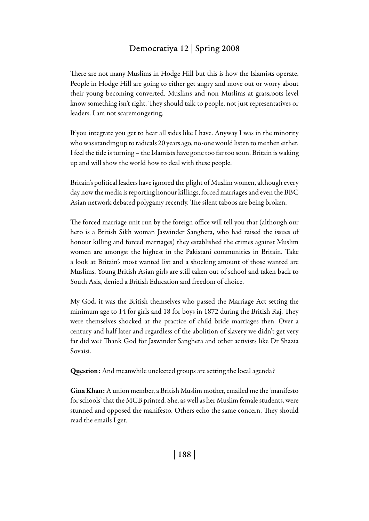There are not many Muslims in Hodge Hill but this is how the Islamists operate. People in Hodge Hill are going to either get angry and move out or worry about their young becoming converted. Muslims and non Muslims at grassroots level know something isn't right. They should talk to people, not just representatives or leaders. I am not scaremongering.

If you integrate you get to hear all sides like I have. Anyway I was in the minority who was standing up to radicals 20 years ago, no-one would listen to me then either. I feel the tide is turning – the Islamists have gone too far too soon. Britain is waking up and will show the world how to deal with these people.

Britain's political leaders have ignored the plight of Muslim women, although every day now the media is reporting honour killings, forced marriages and even the BBC Asian network debated polygamy recently. The silent taboos are being broken.

The forced marriage unit run by the foreign office will tell you that (although our hero is a British Sikh woman Jaswinder Sanghera, who had raised the issues of honour killing and forced marriages) they established the crimes against Muslim women are amongst the highest in the Pakistani communities in Britain. Take a look at Britain's most wanted list and a shocking amount of those wanted are Muslims. Young British Asian girls are still taken out of school and taken back to South Asia, denied a British Education and freedom of choice.

My God, it was the British themselves who passed the Marriage Act setting the minimum age to 14 for girls and 18 for boys in 1872 during the British Raj. They were themselves shocked at the practice of child bride marriages then. Over a century and half later and regardless of the abolition of slavery we didn't get very far did we? Thank God for Jaswinder Sanghera and other activists like Dr Shazia Sovaisi.

Question: And meanwhile unelected groups are setting the local agenda?

Gina Khan: A union member, a British Muslim mother, emailed me the 'manifesto for schools' that the MCB printed. She, as well as her Muslim female students, were stunned and opposed the manifesto. Others echo the same concern. They should read the emails I get.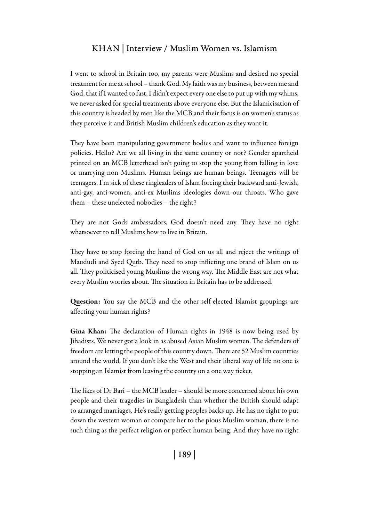I went to school in Britain too, my parents were Muslims and desired no special treatment for me at school – thank God. My faith was my business, between me and God, that if I wanted to fast, I didn't expect every one else to put up with my whims, we never asked for special treatments above everyone else. But the Islamicisation of this country is headed by men like the MCB and their focus is on women's status as they perceive it and British Muslim children's education as they want it.

They have been manipulating government bodies and want to influence foreign policies. Hello? Are we all living in the same country or not? Gender apartheid printed on an MCB letterhead isn't going to stop the young from falling in love or marrying non Muslims. Human beings are human beings. Teenagers will be teenagers. I'm sick of these ringleaders of Islam forcing their backward anti-Jewish, anti-gay, anti-women, anti-ex Muslims ideologies down our throats. Who gave them – these unelected nobodies – the right?

They are not Gods ambassadors, God doesn't need any. They have no right whatsoever to tell Muslims how to live in Britain.

They have to stop forcing the hand of God on us all and reject the writings of Maududi and Syed Qutb. They need to stop inflicting one brand of Islam on us all. They politicised young Muslims the wrong way. The Middle East are not what every Muslim worries about. The situation in Britain has to be addressed.

Question: You say the MCB and the other self-elected Islamist groupings are affecting your human rights?

Gina Khan: The declaration of Human rights in 1948 is now being used by Jihadists. We never got a look in as abused Asian Muslim women. The defenders of freedom are letting the people of this country down. There are 52 Muslim countries around the world. If you don't like the West and their liberal way of life no one is stopping an Islamist from leaving the country on a one way ticket.

The likes of Dr Bari – the MCB leader – should be more concerned about his own people and their tragedies in Bangladesh than whether the British should adapt to arranged marriages. He's really getting peoples backs up. He has no right to put down the western woman or compare her to the pious Muslim woman, there is no such thing as the perfect religion or perfect human being. And they have no right

| 189 |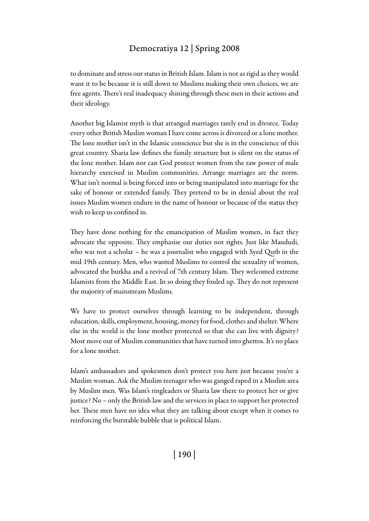to dominate and stress our status in British Islam. Islam is not as rigid as they would want it to be because it is still down to Muslims making their own choices, we are free agents. There's real inadequacy shining through these men in their actions and their ideology.

Another big Islamist myth is that arranged marriages rarely end in divorce. Today every other British Muslim woman I have come across is divorced or a lone mother. The lone mother isn't in the Islamic conscience but she is in the conscience of this great country. Sharia law defines the family structure but is silent on the status of the lone mother. Islam nor can God protect women from the raw power of male hierarchy exercised in Muslim communities. Arrange marriages are the norm. What isn't normal is being forced into or being manipulated into marriage for the sake of honour or extended family. They pretend to be in denial about the real issues Muslim women endure in the name of honour or because of the status they wish to keep us confined in.

They have done nothing for the emancipation of Muslim women, in fact they advocate the opposite. They emphasise our duties not rights. Just like Maududi, who was not a scholar – he was a journalist who engaged with Syed Qutb in the mid 19th century. Men, who wanted Muslims to control the sexuality of women, advocated the burkha and a revival of 7th century Islam. They welcomed extreme Islamists from the Middle East. In so doing they fouled up. They do not represent the majority of mainstream Muslims.

We have to protect ourselves through learning to be independent, through education, skills, employment, housing, money for food, clothes and shelter. Where else in the world is the lone mother protected so that she can live with dignity? Most move out of Muslim communities that have turned into ghettos. It's no place for a lone mother.

Islam's ambassadors and spokesmen don't protect you here just because you're a Muslim woman. Ask the Muslim teenager who was ganged raped in a Muslim area by Muslim men. Was Islam's ringleaders or Sharia law there to protect her or give justice? No – only the British law and the services in place to support her protected her. These men have no idea what they are talking about except when it comes to reinforcing the burstable bubble that is political Islam.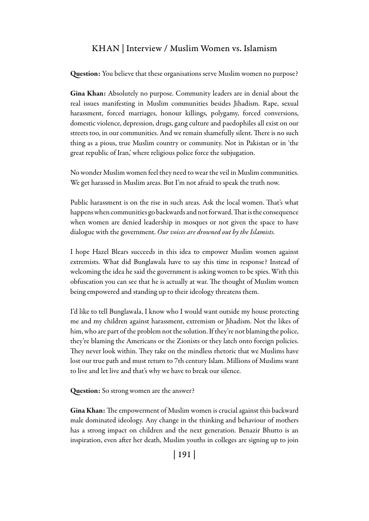Question: You believe that these organisations serve Muslim women no purpose?

Gina Khan: Absolutely no purpose. Community leaders are in denial about the real issues manifesting in Muslim communities besides Jihadism. Rape, sexual harassment, forced marriages, honour killings, polygamy, forced conversions, domestic violence, depression, drugs, gang culture and paedophiles all exist on our streets too, in our communities. And we remain shamefully silent. There is no such thing as a pious, true Muslim country or community. Not in Pakistan or in 'the great republic of Iran,' where religious police force the subjugation.

No wonder Muslim women feel they need to wear the veil in Muslim communities. We get harassed in Muslim areas. But I'm not afraid to speak the truth now.

Public harassment is on the rise in such areas. Ask the local women. That's what happens when communities go backwards and not forward. That is the consequence when women are denied leadership in mosques or not given the space to have dialogue with the government. *Our voices are drowned out by the Islamists.* 

I hope Hazel Blears succeeds in this idea to empower Muslim women against extremists. What did Bunglawala have to say this time in response? Instead of welcoming the idea he said the government is asking women to be spies. With this obfuscation you can see that he is actually at war. The thought of Muslim women being empowered and standing up to their ideology threatens them.

I'd like to tell Bunglawala, I know who I would want outside my house protecting me and my children against harassment, extremism or Jihadism. Not the likes of him, who are part of the problem not the solution. If they're not blaming the police, they're blaming the Americans or the Zionists or they latch onto foreign policies. They never look within. They take on the mindless rhetoric that we Muslims have lost our true path and must return to 7th century Islam. Millions of Muslims want to live and let live and that's why we have to break our silence.

Question: So strong women are the answer?

Gina Khan: The empowerment of Muslim women is crucial against this backward male dominated ideology. Any change in the thinking and behaviour of mothers has a strong impact on children and the next generation. Benazir Bhutto is an inspiration, even after her death, Muslim youths in colleges are signing up to join

| 191 |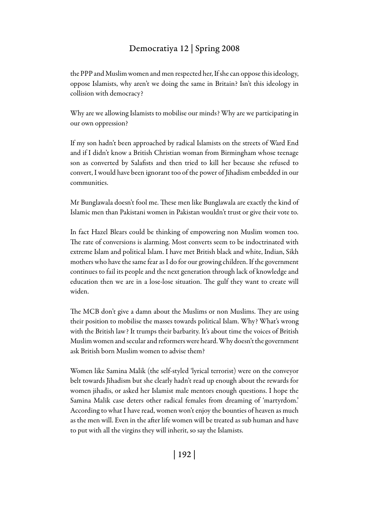the PPP and Muslim women and men respected her, If she can oppose this ideology, oppose Islamists, why aren't we doing the same in Britain? Isn't this ideology in collision with democracy?

Why are we allowing Islamists to mobilise our minds? Why are we participating in our own oppression?

If my son hadn't been approached by radical Islamists on the streets of Ward End and if I didn't know a British Christian woman from Birmingham whose teenage son as converted by Salafists and then tried to kill her because she refused to convert, I would have been ignorant too of the power of Jihadism embedded in our communities.

Mr Bunglawala doesn't fool me. These men like Bunglawala are exactly the kind of Islamic men than Pakistani women in Pakistan wouldn't trust or give their vote to.

In fact Hazel Blears could be thinking of empowering non Muslim women too. The rate of conversions is alarming. Most converts seem to be indoctrinated with extreme Islam and political Islam. I have met British black and white, Indian, Sikh mothers who have the same fear as I do for our growing children. If the government continues to fail its people and the next generation through lack of knowledge and education then we are in a lose-lose situation. The gulf they want to create will widen.

The MCB don't give a damn about the Muslims or non Muslims. They are using their position to mobilise the masses towards political Islam. Why? What's wrong with the British law? It trumps their barbarity. It's about time the voices of British Muslim women and secular and reformers were heard. Why doesn't the government ask British born Muslim women to advise them?

Women like Samina Malik (the self-styled 'lyrical terrorist) were on the conveyor belt towards Jihadism but she clearly hadn't read up enough about the rewards for women jihadis, or asked her Islamist male mentors enough questions. I hope the Samina Malik case deters other radical females from dreaming of 'martyrdom.' According to what I have read, women won't enjoy the bounties of heaven as much as the men will. Even in the after life women will be treated as sub human and have to put with all the virgins they will inherit, so say the Islamists.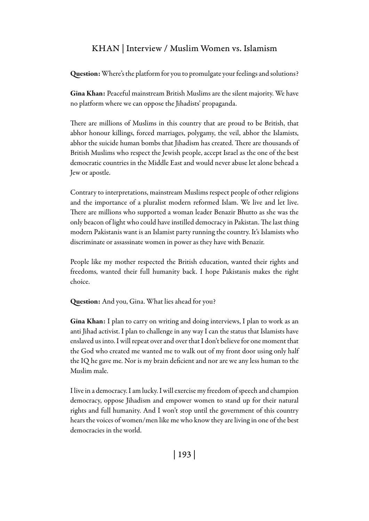Question: Where's the platform for you to promulgate your feelings and solutions?

Gina Khan: Peaceful mainstream British Muslims are the silent majority. We have no platform where we can oppose the Jihadists' propaganda.

There are millions of Muslims in this country that are proud to be British, that abhor honour killings, forced marriages, polygamy, the veil, abhor the Islamists, abhor the suicide human bombs that Jihadism has created. There are thousands of British Muslims who respect the Jewish people, accept Israel as the one of the best democratic countries in the Middle East and would never abuse let alone behead a Jew or apostle.

Contrary to interpretations, mainstream Muslims respect people of other religions and the importance of a pluralist modern reformed Islam. We live and let live. There are millions who supported a woman leader Benazir Bhutto as she was the only beacon of light who could have instilled democracy in Pakistan. The last thing modern Pakistanis want is an Islamist party running the country. It's Islamists who discriminate or assassinate women in power as they have with Benazir.

People like my mother respected the British education, wanted their rights and freedoms, wanted their full humanity back. I hope Pakistanis makes the right choice.

Question: And you, Gina. What lies ahead for you?

Gina Khan: I plan to carry on writing and doing interviews, I plan to work as an anti Jihad activist. I plan to challenge in any way I can the status that Islamists have enslaved us into. I will repeat over and over that I don't believe for one moment that the God who created me wanted me to walk out of my front door using only half the IQ he gave me. Nor is my brain deficient and nor are we any less human to the Muslim male.

I live in a democracy. I am lucky. I will exercise my freedom of speech and champion democracy, oppose Jihadism and empower women to stand up for their natural rights and full humanity. And I won't stop until the government of this country hears the voices of women/men like me who know they are living in one of the best democracies in the world.

| 193 |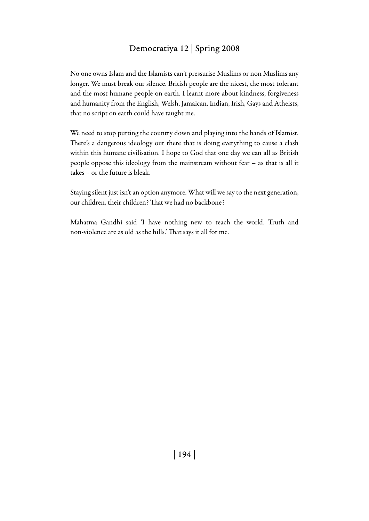No one owns Islam and the Islamists can't pressurise Muslims or non Muslims any longer. We must break our silence. British people are the nicest, the most tolerant and the most humane people on earth. I learnt more about kindness, forgiveness and humanity from the English, Welsh, Jamaican, Indian, Irish, Gays and Atheists, that no script on earth could have taught me.

We need to stop putting the country down and playing into the hands of Islamist. There's a dangerous ideology out there that is doing everything to cause a clash within this humane civilisation. I hope to God that one day we can all as British people oppose this ideology from the mainstream without fear – as that is all it takes – or the future is bleak.

Staying silent just isn't an option anymore. What will we say to the next generation, our children, their children? That we had no backbone?

Mahatma Gandhi said 'I have nothing new to teach the world. Truth and non-violence are as old as the hills.' That says it all for me.